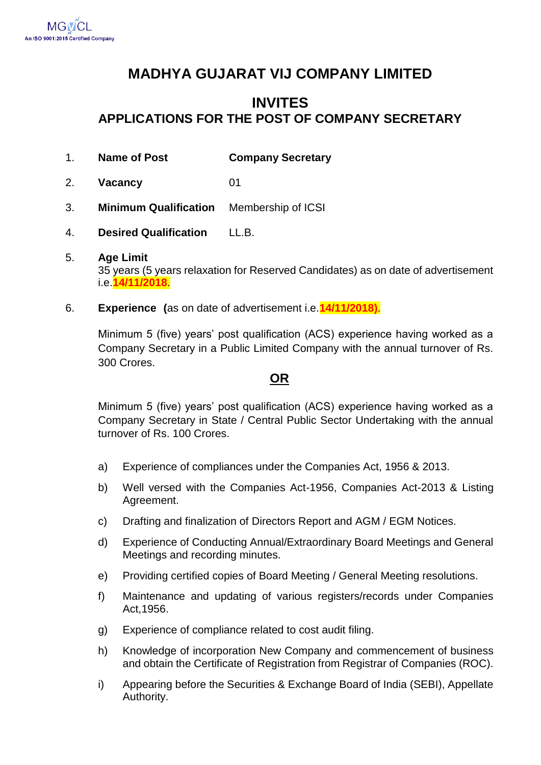# **MADHYA GUJARAT VIJ COMPANY LIMITED**

## **INVITES APPLICATIONS FOR THE POST OF COMPANY SECRETARY**

- 1. **Name of Post Company Secretary**
- 2. **Vacancy** 01
- 3. **Minimum Qualification** Membership of ICSI
- 4. **Desired Qualification** LL.B.
- 5. **Age Limit**  35 years (5 years relaxation for Reserved Candidates) as on date of advertisement i.e.**14/11/2018**.
- 6. **Experience (**as on date of advertisement i.e.**14/11/2018)**.

Minimum 5 (five) years' post qualification (ACS) experience having worked as a Company Secretary in a Public Limited Company with the annual turnover of Rs. 300 Crores.

#### **OR**

Minimum 5 (five) years' post qualification (ACS) experience having worked as a Company Secretary in State / Central Public Sector Undertaking with the annual turnover of Rs. 100 Crores.

- a) Experience of compliances under the Companies Act, 1956 & 2013.
- b) Well versed with the Companies Act-1956, Companies Act-2013 & Listing Agreement.
- c) Drafting and finalization of Directors Report and AGM / EGM Notices.
- d) Experience of Conducting Annual/Extraordinary Board Meetings and General Meetings and recording minutes.
- e) Providing certified copies of Board Meeting / General Meeting resolutions.
- f) Maintenance and updating of various registers/records under Companies Act,1956.
- g) Experience of compliance related to cost audit filing.
- h) Knowledge of incorporation New Company and commencement of business and obtain the Certificate of Registration from Registrar of Companies (ROC).
- i) Appearing before the Securities & Exchange Board of India (SEBI), Appellate Authority.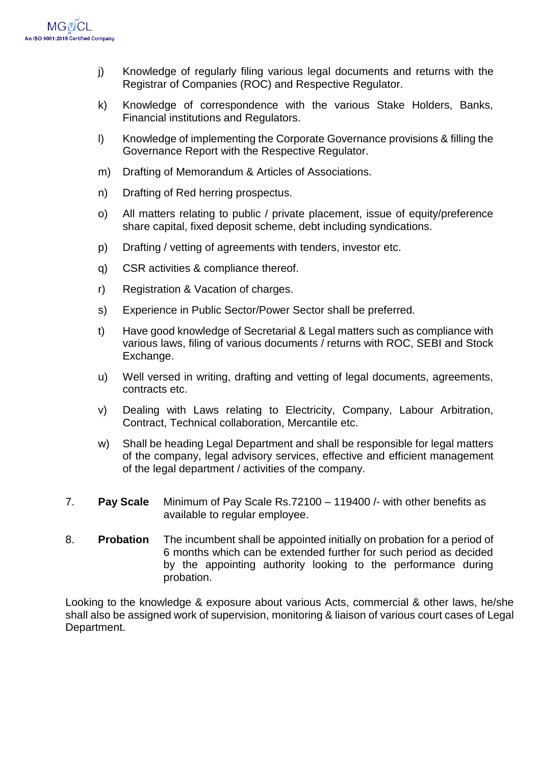

- j) Knowledge of regularly filing various legal documents and returns with the Registrar of Companies (ROC) and Respective Regulator.
- k) Knowledge of correspondence with the various Stake Holders, Banks, Financial institutions and Regulators.
- l) Knowledge of implementing the Corporate Governance provisions & filling the Governance Report with the Respective Regulator.
- m) Drafting of Memorandum & Articles of Associations.
- n) Drafting of Red herring prospectus.
- o) All matters relating to public / private placement, issue of equity/preference share capital, fixed deposit scheme, debt including syndications.
- p) Drafting / vetting of agreements with tenders, investor etc.
- q) CSR activities & compliance thereof.
- r) Registration & Vacation of charges.
- s) Experience in Public Sector/Power Sector shall be preferred.
- t) Have good knowledge of Secretarial & Legal matters such as compliance with various laws, filing of various documents / returns with ROC, SEBI and Stock Exchange.
- u) Well versed in writing, drafting and vetting of legal documents, agreements, contracts etc.
- v) Dealing with Laws relating to Electricity, Company, Labour Arbitration, Contract, Technical collaboration, Mercantile etc.
- w) Shall be heading Legal Department and shall be responsible for legal matters of the company, legal advisory services, effective and efficient management of the legal department / activities of the company.
- 7. **Pay Scale** Minimum of Pay Scale Rs.72100 119400 /- with other benefits as available to regular employee.
- 8. **Probation** The incumbent shall be appointed initially on probation for a period of 6 months which can be extended further for such period as decided by the appointing authority looking to the performance during probation.

Looking to the knowledge & exposure about various Acts, commercial & other laws, he/she shall also be assigned work of supervision, monitoring & liaison of various court cases of Legal Department.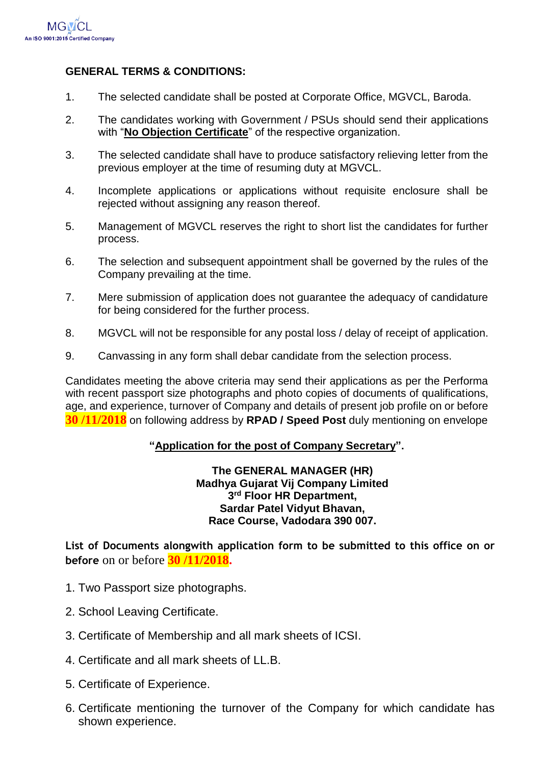

#### **GENERAL TERMS & CONDITIONS:**

- 1. The selected candidate shall be posted at Corporate Office, MGVCL, Baroda.
- 2. The candidates working with Government / PSUs should send their applications with "**No Objection Certificate**" of the respective organization.
- 3. The selected candidate shall have to produce satisfactory relieving letter from the previous employer at the time of resuming duty at MGVCL.
- 4. Incomplete applications or applications without requisite enclosure shall be rejected without assigning any reason thereof.
- 5. Management of MGVCL reserves the right to short list the candidates for further process.
- 6. The selection and subsequent appointment shall be governed by the rules of the Company prevailing at the time.
- 7. Mere submission of application does not guarantee the adequacy of candidature for being considered for the further process.
- 8. MGVCL will not be responsible for any postal loss / delay of receipt of application.
- 9. Canvassing in any form shall debar candidate from the selection process.

Candidates meeting the above criteria may send their applications as per the Performa with recent passport size photographs and photo copies of documents of qualifications, age, and experience, turnover of Company and details of present job profile on or before **30 /11/2018** on following address by **RPAD / Speed Post** duly mentioning on envelope

#### **"Application for the post of Company Secretary".**

**The GENERAL MANAGER (HR) Madhya Gujarat Vij Company Limited 3 rd Floor HR Department, Sardar Patel Vidyut Bhavan, Race Course, Vadodara 390 007.**

**List of Documents alongwith application form to be submitted to this office on or before** on or before **30 /11/2018.**

- 1. Two Passport size photographs.
- 2. School Leaving Certificate.
- 3. Certificate of Membership and all mark sheets of ICSI.
- 4. Certificate and all mark sheets of LL.B.
- 5. Certificate of Experience.
- 6. Certificate mentioning the turnover of the Company for which candidate has shown experience.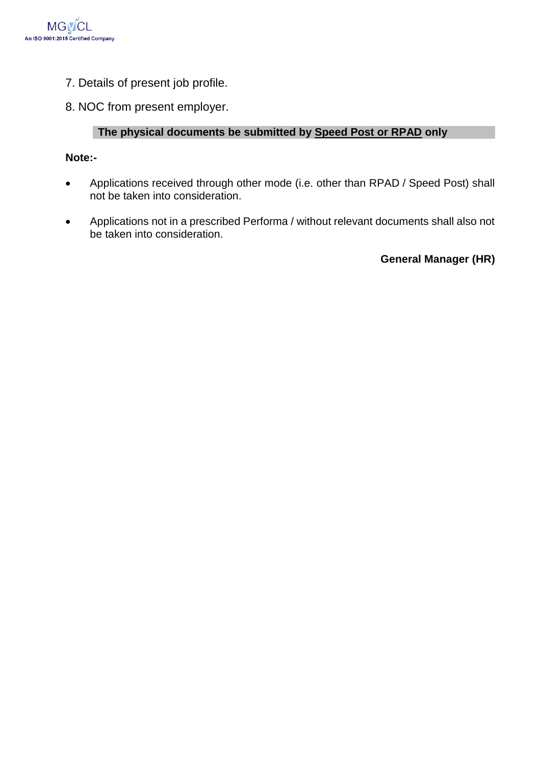

- 7. Details of present job profile.
- 8. NOC from present employer.

#### **The physical documents be submitted by Speed Post or RPAD only**

#### **Note:-**

- Applications received through other mode (i.e. other than RPAD / Speed Post) shall not be taken into consideration.
- Applications not in a prescribed Performa / without relevant documents shall also not be taken into consideration.

**General Manager (HR)**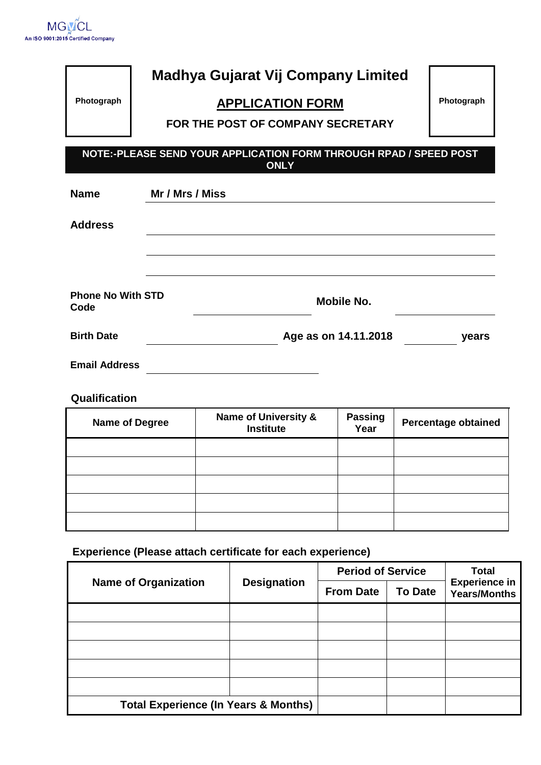

|                                  | <b>Madhya Gujarat Vij Company Limited</b>                                        |            |
|----------------------------------|----------------------------------------------------------------------------------|------------|
| Photograph                       | <b>APPLICATION FORM</b>                                                          | Photograph |
|                                  | FOR THE POST OF COMPANY SECRETARY                                                |            |
|                                  |                                                                                  |            |
|                                  | NOTE:-PLEASE SEND YOUR APPLICATION FORM THROUGH RPAD / SPEED POST<br><b>ONLY</b> |            |
|                                  |                                                                                  |            |
| <b>Name</b>                      | Mr / Mrs / Miss                                                                  |            |
| <b>Address</b>                   |                                                                                  |            |
|                                  |                                                                                  |            |
|                                  |                                                                                  |            |
| <b>Phone No With STD</b><br>Code | Mobile No.                                                                       |            |
| <b>Birth Date</b>                | Age as on 14.11.2018                                                             | years      |
| <b>Email Address</b>             |                                                                                  |            |

### **Qualification**

| <b>Name of Degree</b> | <b>Name of University &amp;</b><br><b>Institute</b> | <b>Passing</b><br>Year | <b>Percentage obtained</b> |
|-----------------------|-----------------------------------------------------|------------------------|----------------------------|
|                       |                                                     |                        |                            |
|                       |                                                     |                        |                            |
|                       |                                                     |                        |                            |
|                       |                                                     |                        |                            |
|                       |                                                     |                        |                            |

**Experience (Please attach certificate for each experience)** 

|                                                 | <b>Designation</b> | <b>Period of Service</b> |                | <b>Total</b>                                |
|-------------------------------------------------|--------------------|--------------------------|----------------|---------------------------------------------|
| <b>Name of Organization</b>                     |                    | <b>From Date</b>         | <b>To Date</b> | <b>Experience in</b><br><b>Years/Months</b> |
|                                                 |                    |                          |                |                                             |
|                                                 |                    |                          |                |                                             |
|                                                 |                    |                          |                |                                             |
|                                                 |                    |                          |                |                                             |
|                                                 |                    |                          |                |                                             |
| <b>Total Experience (In Years &amp; Months)</b> |                    |                          |                |                                             |